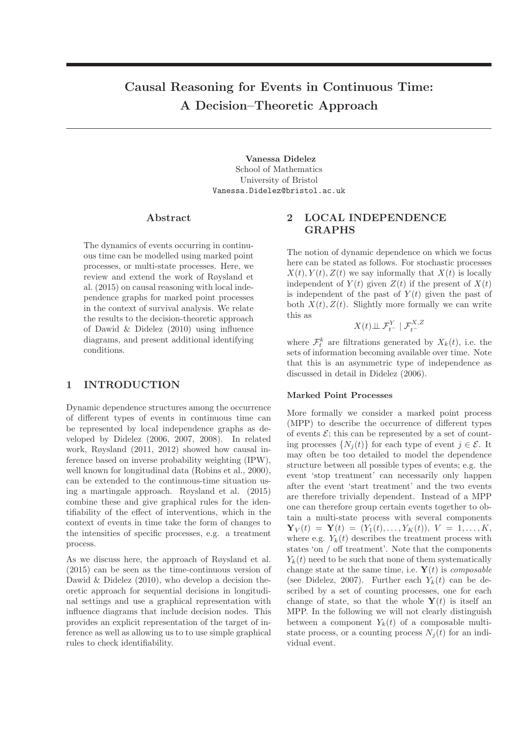# Causal Reasoning for Events in Continuous Time: A Decision–Theoretic Approach

Vanessa Didelez School of Mathematics University of Bristol Vanessa.Didelez@bristol.ac.uk

# Abstract

The dynamics of events occurring in continuous time can be modelled using marked point processes, or multi-state processes. Here, we review and extend the work of Røysland et al. (2015) on causal reasoning with local independence graphs for marked point processes in the context of survival analysis. We relate the results to the decision-theoretic approach of Dawid & Didelez (2010) using influence diagrams, and present additional identifying conditions.

# 1 INTRODUCTION

Dynamic dependence structures among the occurrence of different types of events in continuous time can be represented by local independence graphs as developed by Didelez (2006, 2007, 2008). In related work, Røysland (2011, 2012) showed how causal inference based on inverse probability weighting (IPW), well known for longitudinal data (Robins et al., 2000), can be extended to the continuous-time situation using a martingale approach. Røysland et al. (2015) combine these and give graphical rules for the identifiability of the effect of interventions, which in the context of events in time take the form of changes to the intensities of specific processes, e.g. a treatment process.

As we discuss here, the approach of Røysland et al. (2015) can be seen as the time-continuous version of Dawid & Didelez (2010), who develop a decision theoretic approach for sequential decisions in longitudinal settings and use a graphical representation with influence diagrams that include decision nodes. This provides an explicit representation of the target of inference as well as allowing us to to use simple graphical rules to check identifiability.

# 2 LOCAL INDEPENDENCE GRAPHS

The notion of dynamic dependence on which we focus here can be stated as follows. For stochastic processes  $X(t), Y(t), Z(t)$  we say informally that  $X(t)$  is locally independent of  $Y(t)$  given  $Z(t)$  if the present of  $X(t)$ is independent of the past of  $Y(t)$  given the past of both  $X(t)$ ,  $Z(t)$ . Slightly more formally we can write this as

$$
X(t) \perp \!\!\! \perp \mathcal{F}^Y_{t^-} \mid \mathcal{F}^{X,Z}_{t^-}
$$

where  $\mathcal{F}_t^k$  are filtrations generated by  $X_k(t)$ , i.e. the sets of information becoming available over time. Note that this is an asymmetric type of independence as discussed in detail in Didelez (2006).

#### Marked Point Processes

More formally we consider a marked point process (MPP) to describe the occurrence of different types of events  $\mathcal{E}$ ; this can be represented by a set of counting processes  $\{N_i(t)\}\$ for each type of event  $j \in \mathcal{E}$ . It may often be too detailed to model the dependence structure between all possible types of events; e.g. the event 'stop treatment' can necessarily only happen after the event 'start treatment' and the two events are therefore trivially dependent. Instead of a MPP one can therefore group certain events together to obtain a multi-state process with several components  $\mathbf{Y}_V(t) = \mathbf{Y}(t) = (Y_1(t), \ldots, Y_K(t)), \ V = 1, \ldots, K,$ where e.g.  $Y_k(t)$  describes the treatment process with states 'on / off treatment'. Note that the components  $Y_k(t)$  need to be such that none of them systematically change state at the same time, i.e.  $\mathbf{Y}(t)$  is *composable* (see Didelez, 2007). Further each  $Y_k(t)$  can be described by a set of counting processes, one for each change of state, so that the whole  $\mathbf{Y}(t)$  is itself an MPP. In the following we will not clearly distinguish between a component  $Y_k(t)$  of a composable multistate process, or a counting process  $N_i(t)$  for an individual event.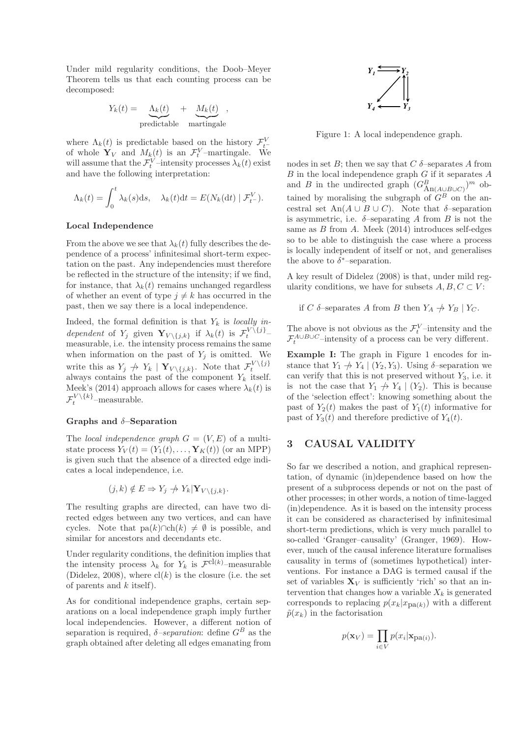Under mild regularity conditions, the Doob–Meyer Theorem tells us that each counting process can be decomposed:

$$
Y_k(t) = \underbrace{\Lambda_k(t)}_{\text{predictable}} + \underbrace{M_k(t)}_{\text{martingale}},
$$

where  $\Lambda_k(t)$  is predictable based on the history  $\mathcal{F}_{t-}^V$ of whole  $\mathbf{Y}_V$  and  $M_k(t)$  is an  $\mathcal{F}_t^V$ -martingale. We will assume that the  $\mathcal{F}_t^V$ -intensity processes  $\lambda_k(t)$  exist and have the following interpretation:

$$
\Lambda_k(t) = \int_0^t \lambda_k(s) \, \mathrm{d} s, \quad \lambda_k(t) \, \mathrm{d} t = E(N_k(\mathrm{d} t) \mid \mathcal{F}_t^V).
$$

#### Local Independence

From the above we see that  $\lambda_k(t)$  fully describes the dependence of a process' infinitesimal short-term expectation on the past. Any independencies must therefore be reflected in the structure of the intensity; if we find, for instance, that  $\lambda_k(t)$  remains unchanged regardless of whether an event of type  $j \neq k$  has occurred in the past, then we say there is a local independence.

Indeed, the formal definition is that  $Y_k$  is locally independent of  $Y_j$  given  $\mathbf{Y}_{V\setminus\{j,k\}}$  if  $\lambda_k(t)$  is  $\mathcal{F}_t^{V\setminus\{j\}}$ measurable, i.e. the intensity process remains the same when information on the past of  $Y_i$  is omitted. We write this as  $Y_j \nightharpoonup Y_k \mid \mathbf{Y}_{V \setminus \{j,k\}}$ . Note that  $\mathcal{F}_t^{V \setminus \{j\}}$  always contains the past of the component  $Y_k$  itself. Meek's (2014) approach allows for cases where  $\lambda_k(t)$  is  $\mathcal{F}_t^{V \setminus \{k\}}$ -measurable.

#### Graphs and  $\delta$ -Separation

The *local independence graph*  $G = (V, E)$  of a multistate process  $Y_V(t) = (Y_1(t), \ldots, Y_K(t))$  (or an MPP) is given such that the absence of a directed edge indicates a local independence, i.e.

$$
(j,k) \notin E \Rightarrow Y_j \not\to Y_k | \mathbf{Y}_{V \setminus \{j,k\}}.
$$

The resulting graphs are directed, can have two directed edges between any two vertices, and can have cycles. Note that  $pa(k) \cap ch(k) \neq \emptyset$  is possible, and similar for ancestors and decendants etc.

Under regularity conditions, the definition implies that the intensity process  $\lambda_k$  for  $Y_k$  is  $\mathcal{F}^{\text{cl}(k)}$ -measurable (Didelez, 2008), where  $\text{cl}(k)$  is the closure (i.e. the set of parents and  $k$  itself).

As for conditional independence graphs, certain separations on a local independence graph imply further local independencies. However, a different notion of separation is required,  $\delta$ -separation: define  $G^B$  as the graph obtained after deleting all edges emanating from



Figure 1: A local independence graph.

nodes in set B; then we say that  $C \delta$ -separates A from  $B$  in the local independence graph  $G$  if it separates  $A$ and B in the undirected graph  $(G_{An(A\cup B\cup C)}^B)^m$  obtained by moralising the subgraph of  $G^B$  on the ancestral set An(A ∪ B ∪ C). Note that  $\delta$ -separation is asymmetric, i.e.  $\delta$ -separating A from B is not the same as  $B$  from  $A$ . Meek  $(2014)$  introduces self-edges so to be able to distinguish the case where a process is locally independent of itself or not, and generalises the above to  $\delta^*$ -separation.

A key result of Didelez (2008) is that, under mild regularity conditions, we have for subsets  $A, B, C \subset V$ :

if C  $\delta$ -separates A from B then  $Y_A \not\rightarrow Y_B | Y_C$ .

The above is not obvious as the  $\mathcal{F}_t^V$ -intensity and the  $\mathcal{F}^{A\cup B\cup C}_{t}$ -intensity of a process can be very different.

Example I: The graph in Figure 1 encodes for instance that  $Y_1 \nightharpoonup Y_4 \mid (Y_2, Y_3)$ . Using  $\delta$ -separation we can verify that this is not preserved without  $Y_3$ , i.e. it is not the case that  $Y_1 \nightharpoonup Y_4 \mid (Y_2)$ . This is because of the 'selection effect': knowing something about the past of  $Y_2(t)$  makes the past of  $Y_1(t)$  informative for past of  $Y_3(t)$  and therefore predictive of  $Y_4(t)$ .

# 3 CAUSAL VALIDITY

So far we described a notion, and graphical representation, of dynamic (in)dependence based on how the present of a subprocess depends or not on the past of other processes; in other words, a notion of time-lagged (in)dependence. As it is based on the intensity process it can be considered as characterised by infinitesimal short-term predictions, which is very much parallel to so-called 'Granger–causality' (Granger, 1969). However, much of the causal inference literature formalises causality in terms of (sometimes hypothetical) interventions. For instance a DAG is termed causal if the set of variables  $X_V$  is sufficiently 'rich' so that an intervention that changes how a variable  $X_k$  is generated corresponds to replacing  $p(x_k|x_{pa(k)})$  with a different  $\tilde{p}(x_k)$  in the factorisation

$$
p(\mathbf{x}_V) = \prod_{i \in V} p(x_i | \mathbf{x}_{pa(i)}).
$$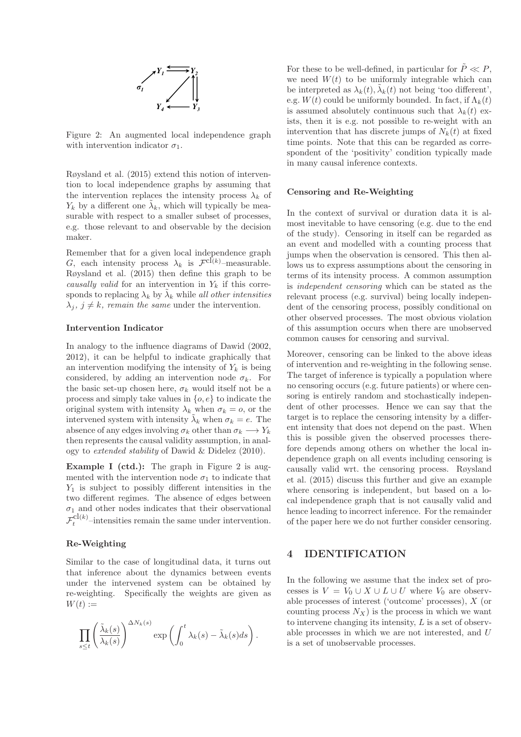

Figure 2: An augmented local independence graph with intervention indicator  $\sigma_1$ .

Røysland et al. (2015) extend this notion of intervention to local independence graphs by assuming that the intervention replaces the intensity process  $\lambda_k$  of  $Y_k$  by a different one  $\tilde{\lambda}_k$ , which will typically be measurable with respect to a smaller subset of processes, e.g. those relevant to and observable by the decision maker.

Remember that for a given local independence graph G, each intensity process  $\lambda_k$  is  $\mathcal{F}^{\mathrm{cl}(k)}$ -measurable. Røysland et al. (2015) then define this graph to be causally valid for an intervention in  $Y_k$  if this corresponds to replacing  $\lambda_k$  by  $\tilde{\lambda}_k$  while all other intensities  $\lambda_i, j \neq k$ , remain the same under the intervention.

### Intervention Indicator

In analogy to the influence diagrams of Dawid (2002, 2012), it can be helpful to indicate graphically that an intervention modifying the intensity of  $Y_k$  is being considered, by adding an intervention node  $\sigma_k$ . For the basic set-up chosen here,  $\sigma_k$  would itself not be a process and simply take values in  $\{o, e\}$  to indicate the original system with intensity  $\lambda_k$  when  $\sigma_k = o$ , or the intervened system with intensity  $\tilde{\lambda}_k$  when  $\sigma_k = e$ . The absence of any edges involving  $\sigma_k$  other than  $\sigma_k \longrightarrow Y_k$ then represents the causal validity assumption, in analogy to extended stability of Dawid & Didelez (2010).

Example I (ctd.): The graph in Figure 2 is augmented with the intervention node  $\sigma_1$  to indicate that  $Y_1$  is subject to possibly different intensities in the two different regimes. The absence of edges between  $\sigma_1$  and other nodes indicates that their observational  $\mathcal{F}_t^{\text{cl}(k)}$ -intensities remain the same under intervention.

# Re-Weighting

Similar to the case of longitudinal data, it turns out that inference about the dynamics between events under the intervened system can be obtained by re-weighting. Specifically the weights are given as  $W(t) :=$ 

$$
\prod_{s\leq t}\left(\frac{\tilde{\lambda}_k(s)}{\lambda_k(s)}\right)^{\Delta N_k(s)}\exp\left(\int_0^t\lambda_k(s)-\tilde{\lambda}_k(s)ds\right).
$$

For these to be well-defined, in particular for  $\ddot{P} \ll P$ , we need  $W(t)$  to be uniformly integrable which can be interpreted as  $\lambda_k(t)$ ,  $\tilde{\lambda}_k(t)$  not being 'too different', e.g.  $W(t)$  could be uniformly bounded. In fact, if  $\Lambda_k(t)$ is assumed absolutely continuous such that  $\lambda_k(t)$  exists, then it is e.g. not possible to re-weight with an intervention that has discrete jumps of  $N_k(t)$  at fixed time points. Note that this can be regarded as correspondent of the 'positivity' condition typically made in many causal inference contexts.

#### Censoring and Re-Weighting

In the context of survival or duration data it is almost inevitable to have censoring (e.g. due to the end of the study). Censoring in itself can be regarded as an event and modelled with a counting process that jumps when the observation is censored. This then allows us to express assumptions about the censoring in terms of its intensity process. A common assumption is independent censoring which can be stated as the relevant process (e.g. survival) being locally independent of the censoring process, possibly conditional on other observed processes. The most obvious violation of this assumption occurs when there are unobserved common causes for censoring and survival.

Moreover, censoring can be linked to the above ideas of intervention and re-weighting in the following sense. The target of inference is typically a population where no censoring occurs (e.g. future patients) or where censoring is entirely random and stochastically independent of other processes. Hence we can say that the target is to replace the censoring intensity by a different intensity that does not depend on the past. When this is possible given the observed processes therefore depends among others on whether the local independence graph on all events including censoring is causally valid wrt. the censoring process. Røysland et al. (2015) discuss this further and give an example where censoring is independent, but based on a local independence graph that is not causally valid and hence leading to incorrect inference. For the remainder of the paper here we do not further consider censoring.

# 4 IDENTIFICATION

In the following we assume that the index set of processes is  $V = V_0 \cup X \cup L \cup U$  where  $V_0$  are observable processes of interest ('outcome' processes), X (or counting process  $N_X$ ) is the process in which we want to intervene changing its intensity,  $L$  is a set of observable processes in which we are not interested, and U is a set of unobservable processes.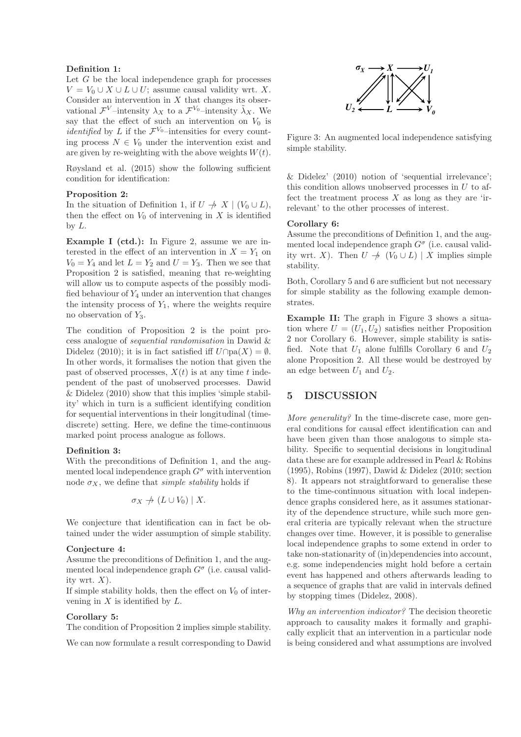#### Definition 1:

Let  $G$  be the local independence graph for processes  $V = V_0 \cup X \cup L \cup U$ ; assume causal validity wrt. X. Consider an intervention in  $X$  that changes its observational  $\mathcal{F}^V$ -intensity  $\lambda_X$  to a  $\mathcal{F}^{V_0}$ -intensity  $\tilde{\lambda}_X$ . We say that the effect of such an intervention on  $V_0$  is *identified* by L if the  $\mathcal{F}^{V_0}$ -intensities for every counting process  $N \in V_0$  under the intervention exist and are given by re-weighting with the above weights  $W(t)$ .

Røysland et al. (2015) show the following sufficient condition for identification:

#### Proposition 2:

In the situation of Definition 1, if  $U \nightharpoondown X \mid (V_0 \cup L)$ , then the effect on  $V_0$  of intervening in X is identified by  $L$ .

Example I (ctd.): In Figure 2, assume we are interested in the effect of an intervention in  $X = Y_1$  on  $V_0 = Y_4$  and let  $L = Y_2$  and  $U = Y_3$ . Then we see that Proposition 2 is satisfied, meaning that re-weighting will allow us to compute aspects of the possibly modified behaviour of  $Y_4$  under an intervention that changes the intensity process of  $Y_1$ , where the weights require no observation of  $Y_3$ .

The condition of Proposition 2 is the point process analogue of sequential randomisation in Dawid & Didelez (2010); it is in fact satisfied iff  $U \cap pa(X) = \emptyset$ . In other words, it formalises the notion that given the past of observed processes,  $X(t)$  is at any time t independent of the past of unobserved processes. Dawid & Didelez (2010) show that this implies 'simple stability' which in turn is a sufficient identifying condition for sequential interventions in their longitudinal (timediscrete) setting. Here, we define the time-continuous marked point process analogue as follows.

#### Definition 3:

With the preconditions of Definition 1, and the augmented local independence graph  $G^{\sigma}$  with intervention node  $\sigma_X$ , we define that *simple stability* holds if

$$
\sigma_X \nrightarrow (L \cup V_0) \mid X.
$$

We conjecture that identification can in fact be obtained under the wider assumption of simple stability.

### Conjecture 4:

Assume the preconditions of Definition 1, and the augmented local independence graph  $G^{\sigma}$  (i.e. causal validity wrt.  $X$ ).

If simple stability holds, then the effect on  $V_0$  of intervening in  $X$  is identified by  $L$ .

#### Corollary 5:

The condition of Proposition 2 implies simple stability.

We can now formulate a result corresponding to Dawid



Figure 3: An augmented local independence satisfying simple stability.

& Didelez' (2010) notion of 'sequential irrelevance'; this condition allows unobserved processes in  $U$  to affect the treatment process  $X$  as long as they are 'irrelevant' to the other processes of interest.

#### Corollary 6:

Assume the preconditions of Definition 1, and the augmented local independence graph  $G^{\sigma}$  (i.e. causal validity wrt. X). Then  $U \neq (V_0 \cup L) | X$  implies simple stability.

Both, Corollary 5 and 6 are sufficient but not necessary for simple stability as the following example demonstrates.

Example II: The graph in Figure 3 shows a situation where  $U = (U_1, U_2)$  satisfies neither Proposition 2 nor Corollary 6. However, simple stability is satisfied. Note that  $U_1$  alone fulfills Corollary 6 and  $U_2$ alone Proposition 2. All these would be destroyed by an edge between  $U_1$  and  $U_2$ .

# 5 DISCUSSION

More generality? In the time-discrete case, more general conditions for causal effect identification can and have been given than those analogous to simple stability. Specific to sequential decisions in longitudinal data these are for example addressed in Pearl & Robins (1995), Robins (1997), Dawid & Didelez (2010; section 8). It appears not straightforward to generalise these to the time-continuous situation with local independence graphs considered here, as it assumes stationarity of the dependence structure, while such more general criteria are typically relevant when the structure changes over time. However, it is possible to generalise local independence graphs to some extend in order to take non-stationarity of (in)dependencies into account, e.g. some independencies might hold before a certain event has happened and others afterwards leading to a sequence of graphs that are valid in intervals defined by stopping times (Didelez, 2008).

Why an intervention indicator? The decision theoretic approach to causality makes it formally and graphically explicit that an intervention in a particular node is being considered and what assumptions are involved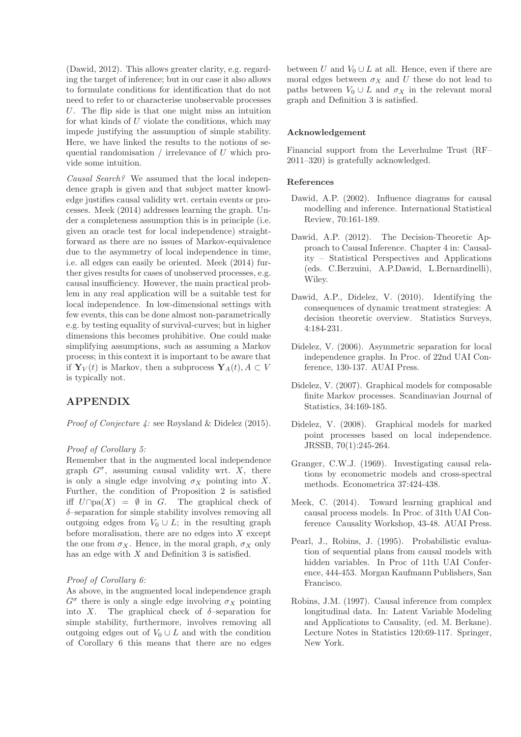(Dawid, 2012). This allows greater clarity, e.g. regarding the target of inference; but in our case it also allows to formulate conditions for identification that do not need to refer to or characterise unobservable processes U. The flip side is that one might miss an intuition for what kinds of  $U$  violate the conditions, which may impede justifying the assumption of simple stability. Here, we have linked the results to the notions of sequential randomisation / irrelevance of U which provide some intuition.

Causal Search? We assumed that the local independence graph is given and that subject matter knowledge justifies causal validity wrt. certain events or processes. Meek (2014) addresses learning the graph. Under a completeness assumption this is in principle (i.e. given an oracle test for local independence) straightforward as there are no issues of Markov-equivalence due to the asymmetry of local independence in time, i.e. all edges can easily be oriented. Meek (2014) further gives results for cases of unobserved processes, e.g. causal insufficiency. However, the main practical problem in any real application will be a suitable test for local independence. In low-dimensional settings with few events, this can be done almost non-parametrically e.g. by testing equality of survival-curves; but in higher dimensions this becomes prohibitive. One could make simplifying assumptions, such as assuming a Markov process; in this context it is important to be aware that if  $\mathbf{Y}_V(t)$  is Markov, then a subprocess  $\mathbf{Y}_A(t), A \subset V$ is typically not.

# APPENDIX

Proof of Conjecture 4: see Røysland & Didelez (2015).

#### Proof of Corollary 5:

Remember that in the augmented local independence graph  $G^{\sigma}$ , assuming causal validity wrt. X, there is only a single edge involving  $\sigma_X$  pointing into X. Further, the condition of Proposition 2 is satisfied iff  $U\cap pa(X) = \emptyset$  in G. The graphical check of  $\delta$ -separation for simple stability involves removing all outgoing edges from  $V_0 \cup L$ ; in the resulting graph before moralisation, there are no edges into  $X$  except the one from  $\sigma_X$ . Hence, in the moral graph,  $\sigma_X$  only has an edge with  $X$  and Definition 3 is satisfied.

#### Proof of Corollary 6:

As above, in the augmented local independence graph  $G^{\sigma}$  there is only a single edge involving  $\sigma_X$  pointing into X. The graphical check of  $\delta$ -separation for simple stability, furthermore, involves removing all outgoing edges out of  $V_0 \cup L$  and with the condition of Corollary 6 this means that there are no edges between U and  $V_0 \cup L$  at all. Hence, even if there are moral edges between  $\sigma_X$  and U these do not lead to paths between  $V_0 \cup L$  and  $\sigma_X$  in the relevant moral graph and Definition 3 is satisfied.

#### Acknowledgement

Financial support from the Leverhulme Trust (RF– 2011–320) is gratefully acknowledged.

#### References

- Dawid, A.P. (2002). Influence diagrams for causal modelling and inference. International Statistical Review, 70:161-189.
- Dawid, A.P. (2012). The Decision-Theoretic Approach to Causal Inference. Chapter 4 in: Causality – Statistical Perspectives and Applications (eds. C.Berzuini, A.P.Dawid, L.Bernardinelli), Wiley.
- Dawid, A.P., Didelez, V. (2010). Identifying the consequences of dynamic treatment strategies: A decision theoretic overview. Statistics Surveys, 4:184-231.
- Didelez, V. (2006). Asymmetric separation for local independence graphs. In Proc. of 22nd UAI Conference, 130-137. AUAI Press.
- Didelez, V. (2007). Graphical models for composable finite Markov processes. Scandinavian Journal of Statistics, 34:169-185.
- Didelez, V. (2008). Graphical models for marked point processes based on local independence. JRSSB, 70(1):245-264.
- Granger, C.W.J. (1969). Investigating causal relations by econometric models and cross-spectral methods. Econometrica 37:424-438.
- Meek, C. (2014). Toward learning graphical and causal process models. In Proc. of 31th UAI Conference Causality Workshop, 43-48. AUAI Press.
- Pearl, J., Robins, J. (1995). Probabilistic evaluation of sequential plans from causal models with hidden variables. In Proc of 11th UAI Conference, 444-453. Morgan Kaufmann Publishers, San Francisco.
- Robins, J.M. (1997). Causal inference from complex longitudinal data. In: Latent Variable Modeling and Applications to Causality, (ed. M. Berkane). Lecture Notes in Statistics 120:69-117. Springer, New York.